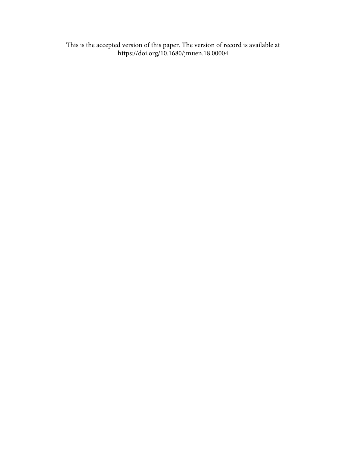This is the accepted version of this paper. The version of record is available at <https://doi.org/10.1680/jmuen.18.00004>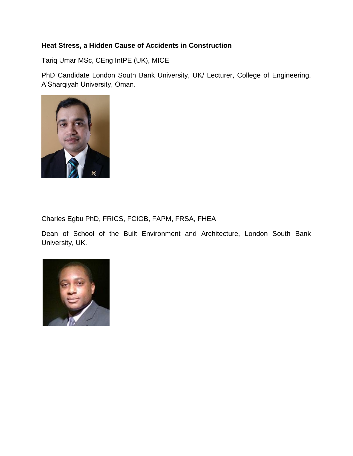### **Heat Stress, a Hidden Cause of Accidents in Construction**

Tariq Umar MSc, CEng IntPE (UK), MICE

PhD Candidate London South Bank University, UK/ Lecturer, College of Engineering, A'Sharqiyah University, Oman.



Charles Egbu PhD, FRICS, FCIOB, FAPM, FRSA, FHEA

Dean of School of the Built Environment and Architecture, London South Bank University, UK.

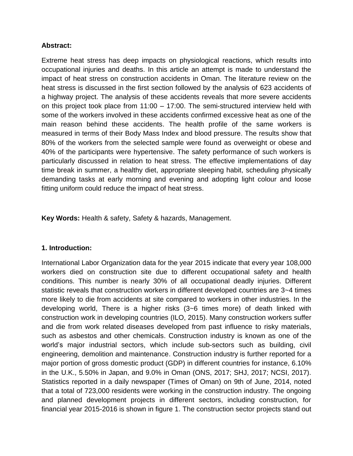#### **Abstract:**

Extreme heat stress has deep impacts on physiological reactions, which results into occupational injuries and deaths. In this article an attempt is made to understand the impact of heat stress on construction accidents in Oman. The literature review on the heat stress is discussed in the first section followed by the analysis of 623 accidents of a highway project. The analysis of these accidents reveals that more severe accidents on this project took place from 11:00 – 17:00. The semi-structured interview held with some of the workers involved in these accidents confirmed excessive heat as one of the main reason behind these accidents. The health profile of the same workers is measured in terms of their Body Mass Index and blood pressure. The results show that 80% of the workers from the selected sample were found as overweight or obese and 40% of the participants were hypertensive. The safety performance of such workers is particularly discussed in relation to heat stress. The effective implementations of day time break in summer, a healthy diet, appropriate sleeping habit, scheduling physically demanding tasks at early morning and evening and adopting light colour and loose fitting uniform could reduce the impact of heat stress.

**Key Words:** Health & safety, Safety & hazards, Management.

#### **1. Introduction:**

International Labor Organization data for the year 2015 indicate that every year 108,000 workers died on construction site due to different occupational safety and health conditions. This number is nearly 30% of all occupational deadly injuries. Different statistic reveals that construction workers in different developed countries are 3~4 times more likely to die from accidents at site compared to workers in other industries. In the developing world, There is a higher risks (3~6 times more) of death linked with construction work in developing countries (ILO, 2015). Many construction workers suffer and die from work related diseases developed from past influence to risky materials, such as asbestos and other chemicals. Construction industry is known as one of the world's major industrial sectors, which include sub-sectors such as building, civil engineering, demolition and maintenance. Construction industry is further reported for a major portion of gross domestic product (GDP) in different countries for instance, 6.10% in the U.K., 5.50% in Japan, and 9.0% in Oman (ONS, 2017; SHJ, 2017; NCSI, 2017). Statistics reported in a daily newspaper (Times of Oman) on 9th of June, 2014, noted that a total of 723,000 residents were working in the construction industry. The ongoing and planned development projects in different sectors, including construction, for financial year 2015-2016 is shown in figure 1. The construction sector projects stand out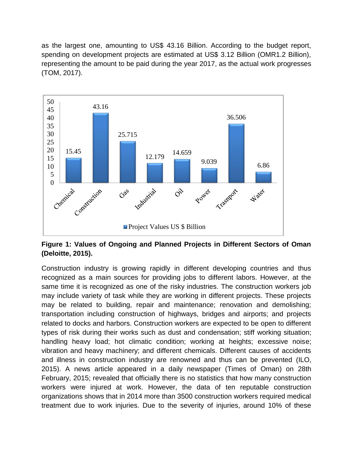as the largest one, amounting to US\$ 43.16 Billion. According to the budget report, spending on development projects are estimated at US\$ 3.12 Billion (OMR1.2 Billion), representing the amount to be paid during the year 2017, as the actual work progresses (TOM, 2017).



**Figure 1: Values of Ongoing and Planned Projects in Different Sectors of Oman (Deloitte, 2015).**

Construction industry is growing rapidly in different developing countries and thus recognized as a main sources for providing jobs to different labors. However, at the same time it is recognized as one of the risky industries. The construction workers job may include variety of task while they are working in different projects. These projects may be related to building, repair and maintenance; renovation and demolishing; transportation including construction of highways, bridges and airports; and projects related to docks and harbors. Construction workers are expected to be open to different types of risk during their works such as dust and condensation; stiff working situation; handling heavy load; hot climatic condition; working at heights; excessive noise; vibration and heavy machinery; and different chemicals. Different causes of accidents and illness in construction industry are renowned and thus can be prevented (ILO, 2015). A news article appeared in a daily newspaper (Times of Oman) on 28th February, 2015; revealed that officially there is no statistics that how many construction workers were injured at work. However, the data of ten reputable construction organizations shows that in 2014 more than 3500 construction workers required medical treatment due to work injuries. Due to the severity of injuries, around 10% of these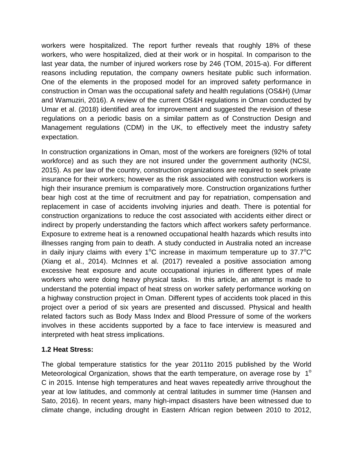workers were hospitalized. The report further reveals that roughly 18% of these workers, who were hospitalized, died at their work or in hospital. In comparison to the last year data, the number of injured workers rose by 246 (TOM, 2015-a). For different reasons including reputation, the company owners hesitate public such information. One of the elements in the proposed model for an improved safety performance in construction in Oman was the occupational safety and health regulations (OS&H) (Umar and Wamuziri, 2016). A review of the current OS&H regulations in Oman conducted by Umar et al. (2018) identified area for improvement and suggested the revision of these regulations on a periodic basis on a similar pattern as of Construction Design and Management regulations (CDM) in the UK, to effectively meet the industry safety expectation.

In construction organizations in Oman, most of the workers are foreigners (92% of total workforce) and as such they are not insured under the government authority (NCSI, 2015). As per law of the country, construction organizations are required to seek private insurance for their workers; however as the risk associated with construction workers is high their insurance premium is comparatively more. Construction organizations further bear high cost at the time of recruitment and pay for repatriation, compensation and replacement in case of accidents involving injuries and death. There is potential for construction organizations to reduce the cost associated with accidents either direct or indirect by properly understanding the factors which affect workers safety performance. Exposure to extreme heat is a renowned occupational health hazards which results into illnesses ranging from pain to death. A study conducted in Australia noted an increase in daily injury claims with every 1°C increase in maximum temperature up to 37.7°C (Xiang et al., 2014). McInnes et al. (2017) revealed a positive association among excessive heat exposure and acute occupational injuries in different types of male workers who were doing heavy physical tasks. In this article, an attempt is made to understand the potential impact of heat stress on worker safety performance working on a highway construction project in Oman. Different types of accidents took placed in this project over a period of six years are presented and discussed. Physical and health related factors such as Body Mass Index and Blood Pressure of some of the workers involves in these accidents supported by a face to face interview is measured and interpreted with heat stress implications.

# **1.2 Heat Stress:**

The global temperature statistics for the year 2011to 2015 published by the World Meteorological Organization, shows that the earth temperature, on average rose by  $1^{\circ}$ C in 2015. Intense high temperatures and heat waves repeatedly arrive throughout the year at low latitudes, and commonly at central latitudes in summer time (Hansen and Sato, 2016). In recent years, many high-impact disasters have been witnessed due to climate change, including drought in Eastern African region between 2010 to 2012,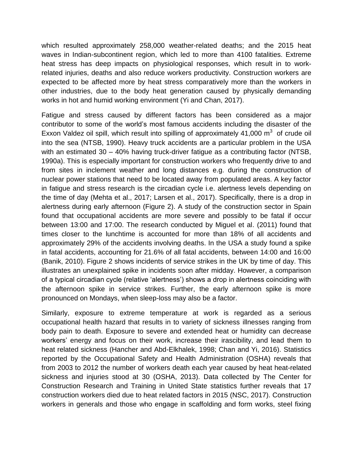which resulted approximately 258,000 weather-related deaths; and the 2015 heat waves in Indian-subcontinent region, which led to more than 4100 fatalities. Extreme heat stress has deep impacts on physiological responses, which result in to workrelated injuries, deaths and also reduce workers productivity. Construction workers are expected to be affected more by heat stress comparatively more than the workers in other industries, due to the body heat generation caused by physically demanding works in hot and humid working environment (Yi and Chan, 2017).

Fatigue and stress caused by different factors has been considered as a major contributor to some of the world's most famous accidents including the disaster of the Exxon Valdez oil spill, which result into spilling of approximately 41,000  $\text{m}^3$  of crude oil into the sea (NTSB, 1990). Heavy truck accidents are a particular problem in the USA with an estimated 30 – 40% having truck-driver fatigue as a contributing factor (NTSB, 1990a). This is especially important for construction workers who frequently drive to and from sites in inclement weather and long distances e.g. during the construction of nuclear power stations that need to be located away from populated areas. A key factor in fatigue and stress research is the circadian cycle i.e. alertness levels depending on the time of day (Mehta et al., 2017; Larsen et al., 2017). Specifically, there is a drop in alertness during early afternoon (Figure 2). A study of the construction sector in Spain found that occupational accidents are more severe and possibly to be fatal if occur between 13:00 and 17:00. The research conducted by Miguel et al. (2011) found that times closer to the lunchtime is accounted for more than 18% of all accidents and approximately 29% of the accidents involving deaths. In the USA a study found a spike in fatal accidents, accounting for 21.6% of all fatal accidents, between 14:00 and 16:00 (Banik, 2010). Figure 2 shows incidents of service strikes in the UK by time of day. This illustrates an unexplained spike in incidents soon after midday. However, a comparison of a typical circadian cycle (relative 'alertness') shows a drop in alertness coinciding with the afternoon spike in service strikes. Further, the early afternoon spike is more pronounced on Mondays, when sleep-loss may also be a factor.

Similarly, exposure to extreme temperature at work is regarded as a serious occupational health hazard that results in to variety of sickness illnesses ranging from body pain to death. Exposure to severe and extended heat or humidity can decrease workers' energy and focus on their work, increase their irascibility, and lead them to heat related sickness (Hancher and Abd-Elkhalek, 1998; Chan and Yi, 2016). Statistics reported by the Occupational Safety and Health Administration (OSHA) reveals that from 2003 to 2012 the number of workers death each year caused by heat heat-related sickness and injuries stood at 30 (OSHA, 2013). Data collected by The Center for Construction Research and Training in United State statistics further reveals that 17 construction workers died due to heat related factors in 2015 (NSC, 2017). Construction workers in generals and those who engage in scaffolding and form works, steel fixing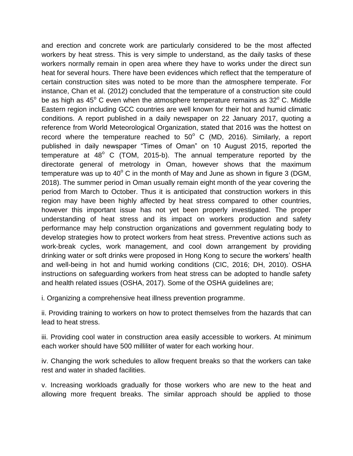and erection and concrete work are particularly considered to be the most affected workers by heat stress. This is very simple to understand, as the daily tasks of these workers normally remain in open area where they have to works under the direct sun heat for several hours. There have been evidences which reflect that the temperature of certain construction sites was noted to be more than the atmosphere temperate. For instance, Chan et al. (2012) concluded that the temperature of a construction site could be as high as  $45^{\circ}$  C even when the atmosphere temperature remains as  $32^{\circ}$  C. Middle Eastern region including GCC countries are well known for their hot and humid climatic conditions. A report published in a daily newspaper on 22 January 2017, quoting a reference from World Meteorological Organization, stated that 2016 was the hottest on record where the temperature reached to  $50^{\circ}$  C (MD, 2016). Similarly, a report published in daily newspaper "Times of Oman" on 10 August 2015, reported the temperature at  $48^{\circ}$  C (TOM, 2015-b). The annual temperature reported by the directorate general of metrology in Oman, however shows that the maximum temperature was up to  $40^{\circ}$  C in the month of May and June as shown in figure 3 (DGM, 2018). The summer period in Oman usually remain eight month of the year covering the period from March to October. Thus it is anticipated that construction workers in this region may have been highly affected by heat stress compared to other countries, however this important issue has not yet been properly investigated. The proper understanding of heat stress and its impact on workers production and safety performance may help construction organizations and government regulating body to develop strategies how to protect workers from heat stress. Preventive actions such as work-break cycles, work management, and cool down arrangement by providing drinking water or soft drinks were proposed in Hong Kong to secure the workers' health and well-being in hot and humid working conditions (CIC, 2016; DH, 2010). OSHA instructions on safeguarding workers from heat stress can be adopted to handle safety and health related issues (OSHA, 2017). Some of the OSHA guidelines are;

i. Organizing a comprehensive heat illness prevention programme.

ii. Providing training to workers on how to protect themselves from the hazards that can lead to heat stress.

iii. Providing cool water in construction area easily accessible to workers. At minimum each worker should have 500 milliliter of water for each working hour.

iv. Changing the work schedules to allow frequent breaks so that the workers can take rest and water in shaded facilities.

v. Increasing workloads gradually for those workers who are new to the heat and allowing more frequent breaks. The similar approach should be applied to those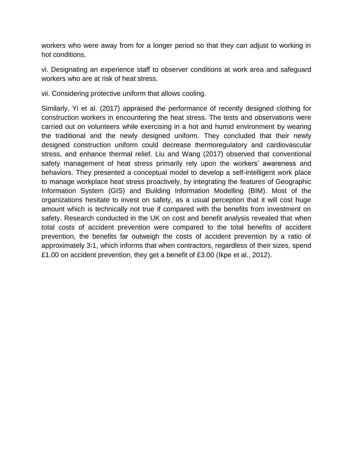workers who were away from for a longer period so that they can adjust to working in hot conditions.

vi. Designating an experience staff to observer conditions at work area and safeguard workers who are at risk of heat stress.

vii. Considering protective uniform that allows cooling.

Similarly, Yi et al. (2017) appraised the performance of recently designed clothing for construction workers in encountering the heat stress. The tests and observations were carried out on volunteers while exercising in a hot and humid environment by wearing the traditional and the newly designed uniform. They concluded that their newly designed construction uniform could decrease thermoregulatory and cardiovascular stress, and enhance thermal relief. Liu and Wang (2017) observed that conventional safety management of heat stress primarily rely upon the workers' awareness and behaviors. They presented a conceptual model to develop a self-intelligent work place to manage workplace heat stress proactively, by integrating the features of Geographic Information System (GIS) and Building Information Modelling (BIM). Most of the organizations hesitate to invest on safety, as a usual perception that it will cost huge amount which is technically not true if compared with the benefits from investment on safety. Research conducted in the UK on cost and benefit analysis revealed that when total costs of accident prevention were compared to the total benefits of accident prevention, the benefits far outweigh the costs of accident prevention by a ratio of approximately 3∶1, which informs that when contractors, regardless of their sizes, spend £1.00 on accident prevention, they get a benefit of £3.00 (Ikpe et al., 2012).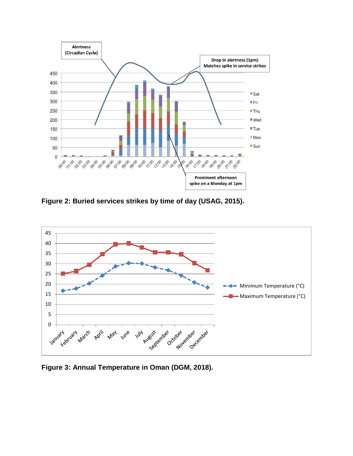

**Figure 2: Buried services strikes by time of day (USAG, 2015).**



**Figure 3: Annual Temperature in Oman (DGM, 2018).**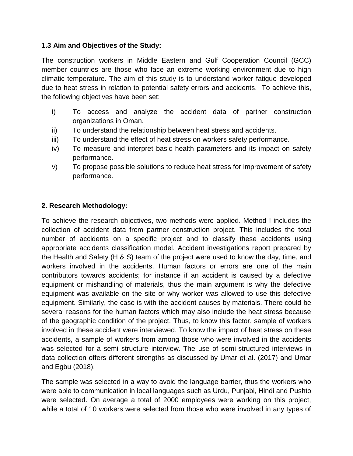#### **1.3 Aim and Objectives of the Study:**

The construction workers in Middle Eastern and Gulf Cooperation Council (GCC) member countries are those who face an extreme working environment due to high climatic temperature. The aim of this study is to understand worker fatigue developed due to heat stress in relation to potential safety errors and accidents. To achieve this, the following objectives have been set:

- i) To access and analyze the accident data of partner construction organizations in Oman.
- ii) To understand the relationship between heat stress and accidents.
- iii) To understand the effect of heat stress on workers safety performance.
- iv) To measure and interpret basic health parameters and its impact on safety performance.
- v) To propose possible solutions to reduce heat stress for improvement of safety performance.

## **2. Research Methodology:**

To achieve the research objectives, two methods were applied. Method I includes the collection of accident data from partner construction project. This includes the total number of accidents on a specific project and to classify these accidents using appropriate accidents classification model. Accident investigations report prepared by the Health and Safety (H & S) team of the project were used to know the day, time, and workers involved in the accidents. Human factors or errors are one of the main contributors towards accidents; for instance if an accident is caused by a defective equipment or mishandling of materials, thus the main argument is why the defective equipment was available on the site or why worker was allowed to use this defective equipment. Similarly, the case is with the accident causes by materials. There could be several reasons for the human factors which may also include the heat stress because of the geographic condition of the project. Thus, to know this factor, sample of workers involved in these accident were interviewed. To know the impact of heat stress on these accidents, a sample of workers from among those who were involved in the accidents was selected for a semi structure interview. The use of semi-structured interviews in data collection offers different strengths as discussed by Umar et al. (2017) and Umar and Egbu (2018).

The sample was selected in a way to avoid the language barrier, thus the workers who were able to communication in local languages such as Urdu, Punjabi, Hindi and Pushto were selected. On average a total of 2000 employees were working on this project, while a total of 10 workers were selected from those who were involved in any types of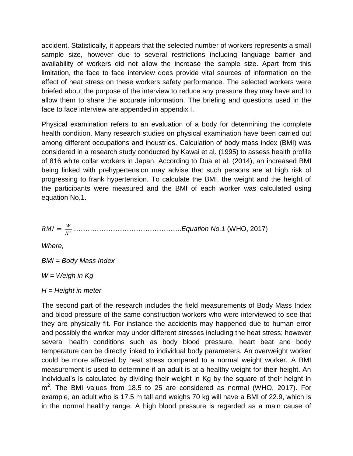accident. Statistically, it appears that the selected number of workers represents a small sample size, however due to several restrictions including language barrier and availability of workers did not allow the increase the sample size. Apart from this limitation, the face to face interview does provide vital sources of information on the effect of heat stress on these workers safety performance. The selected workers were briefed about the purpose of the interview to reduce any pressure they may have and to allow them to share the accurate information. The briefing and questions used in the face to face interview are appended in appendix I.

Physical examination refers to an evaluation of a body for determining the complete health condition. Many research studies on physical examination have been carried out among different occupations and industries. Calculation of body mass index (BMI) was considered in a research study conducted by Kawai et al. (1995) to assess health profile of 816 white collar workers in Japan. According to Dua et al. (2014), an increased BMI being linked with prehypertension may advise that such persons are at high risk of progressing to frank hypertension. To calculate the BMI, the weight and the height of the participants were measured and the BMI of each worker was calculated using equation No.1.

= <sup>2</sup> ………………………………………..*Equation No.1* (WHO, 2017)

*Where,*

*BMI = Body Mass Index*

*W = Weigh in Kg*

*H = Height in meter*

The second part of the research includes the field measurements of Body Mass Index and blood pressure of the same construction workers who were interviewed to see that they are physically fit. For instance the accidents may happened due to human error and possibly the worker may under different stresses including the heat stress; however several health conditions such as body blood pressure, heart beat and body temperature can be directly linked to individual body parameters. An overweight worker could be more affected by heat stress compared to a normal weight worker. A BMI measurement is used to determine if an adult is at a healthy weight for their height. An individual's is calculated by dividing their weight in Kg by the square of their height in m<sup>2</sup>. The BMI values from 18.5 to 25 are considered as normal (WHO, 2017). For example, an adult who is 17.5 m tall and weighs 70 kg will have a BMI of 22.9, which is in the normal healthy range. A high blood pressure is regarded as a main cause of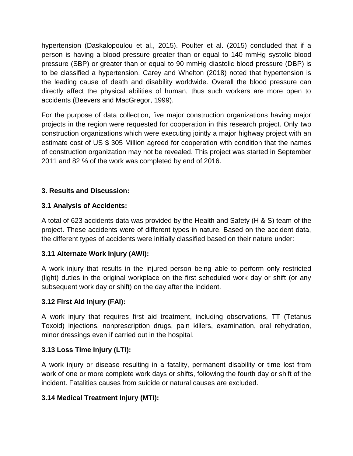hypertension (Daskalopoulou et al., 2015). Poulter et al. (2015) concluded that if a person is having a blood pressure greater than or equal to 140 mmHg systolic blood pressure (SBP) or greater than or equal to 90 mmHg diastolic blood pressure (DBP) is to be classified a hypertension. Carey and Whelton (2018) noted that hypertension is the leading cause of death and disability worldwide. Overall the blood pressure can directly affect the physical abilities of human, thus such workers are more open to accidents (Beevers and MacGregor, 1999).

For the purpose of data collection, five major construction organizations having major projects in the region were requested for cooperation in this research project. Only two construction organizations which were executing jointly a major highway project with an estimate cost of US \$ 305 Million agreed for cooperation with condition that the names of construction organization may not be revealed. This project was started in September 2011 and 82 % of the work was completed by end of 2016.

# **3. Results and Discussion:**

## **3.1 Analysis of Accidents:**

A total of 623 accidents data was provided by the Health and Safety (H & S) team of the project. These accidents were of different types in nature. Based on the accident data, the different types of accidents were initially classified based on their nature under:

### **3.11 Alternate Work Injury (AWI):**

A work injury that results in the injured person being able to perform only restricted (light) duties in the original workplace on the first scheduled work day or shift (or any subsequent work day or shift) on the day after the incident.

# **3.12 First Aid Injury (FAI):**

A work injury that requires first aid treatment, including observations, TT (Tetanus Toxoid) injections, nonprescription drugs, pain killers, examination, oral rehydration, minor dressings even if carried out in the hospital.

### **3.13 Loss Time Injury (LTI):**

A work injury or disease resulting in a fatality, permanent disability or time lost from work of one or more complete work days or shifts, following the fourth day or shift of the incident. Fatalities causes from suicide or natural causes are excluded.

### **3.14 Medical Treatment Injury (MTI):**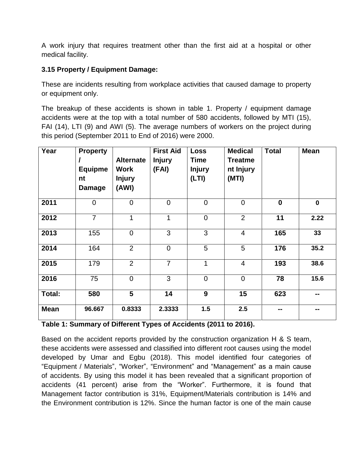A work injury that requires treatment other than the first aid at a hospital or other medical facility.

# **3.15 Property / Equipment Damage:**

These are incidents resulting from workplace activities that caused damage to property or equipment only.

The breakup of these accidents is shown in table 1. Property / equipment damage accidents were at the top with a total number of 580 accidents, followed by MTI (15), FAI (14), LTI (9) and AWI (5). The average numbers of workers on the project during this period (September 2011 to End of 2016) were 2000.

| Year        | <b>Property</b><br><b>Equipme</b><br>nt<br><b>Damage</b> | <b>Alternate</b><br>Work<br><b>Injury</b><br>(AWI) | <b>First Aid</b><br><b>Injury</b><br>(FAI) | <b>Loss</b><br><b>Time</b><br><b>Injury</b><br>(LTI) | <b>Medical</b><br><b>Treatme</b><br>nt Injury<br>(MTI) | <b>Total</b>     | <b>Mean</b>   |
|-------------|----------------------------------------------------------|----------------------------------------------------|--------------------------------------------|------------------------------------------------------|--------------------------------------------------------|------------------|---------------|
| 2011        | $\mathbf 0$                                              | $\overline{0}$                                     | $\overline{0}$                             | $\mathbf 0$                                          | $\Omega$                                               | $\boldsymbol{0}$ | $\mathbf 0$   |
| 2012        | $\overline{7}$                                           | 1                                                  | 1                                          | $\mathbf 0$                                          | $\overline{2}$                                         | 11               | 2.22          |
| 2013        | 155                                                      | $\Omega$                                           | 3                                          | 3                                                    | 4                                                      | 165              | 33            |
| 2014        | 164                                                      | 2                                                  | $\mathbf 0$                                | 5                                                    | 5                                                      | 176              | 35.2          |
| 2015        | 179                                                      | $\overline{2}$                                     | $\overline{7}$                             | 1                                                    | $\overline{4}$                                         | 193              | 38.6          |
| 2016        | 75                                                       | $\mathbf 0$                                        | 3                                          | $\mathbf 0$                                          | $\overline{0}$                                         | 78               | 15.6          |
| Total:      | 580                                                      | $5\phantom{.0}$                                    | 14                                         | 9                                                    | 15                                                     | 623              | $\sim$ $\sim$ |
| <b>Mean</b> | 96.667                                                   | 0.8333                                             | 2.3333                                     | 1.5                                                  | 2.5                                                    | --               | --            |

| Table 1: Summary of Different Types of Accidents (2011 to 2016). |  |  |
|------------------------------------------------------------------|--|--|
|                                                                  |  |  |

Based on the accident reports provided by the construction organization H & S team, these accidents were assessed and classified into different root causes using the model developed by Umar and Egbu (2018). This model identified four categories of "Equipment / Materials", "Worker", "Environment" and "Management" as a main cause of accidents. By using this model it has been revealed that a significant proportion of accidents (41 percent) arise from the "Worker". Furthermore, it is found that Management factor contribution is 31%, Equipment/Materials contribution is 14% and the Environment contribution is 12%. Since the human factor is one of the main cause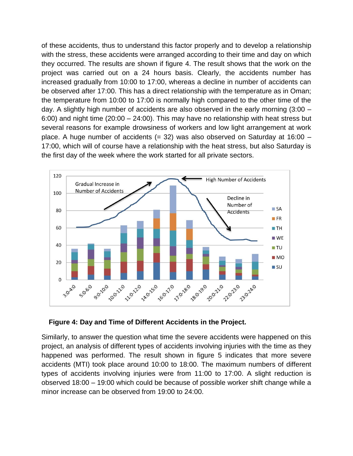of these accidents, thus to understand this factor properly and to develop a relationship with the stress, these accidents were arranged according to their time and day on which they occurred. The results are shown if figure 4. The result shows that the work on the project was carried out on a 24 hours basis. Clearly, the accidents number has increased gradually from 10:00 to 17:00, whereas a decline in number of accidents can be observed after 17:00. This has a direct relationship with the temperature as in Oman; the temperature from 10:00 to 17:00 is normally high compared to the other time of the day. A slightly high number of accidents are also observed in the early morning (3:00 – 6:00) and night time (20:00 – 24:00). This may have no relationship with heat stress but several reasons for example drowsiness of workers and low light arrangement at work place. A huge number of accidents  $(= 32)$  was also observed on Saturday at 16:00 – 17:00, which will of course have a relationship with the heat stress, but also Saturday is the first day of the week where the work started for all private sectors.



**Figure 4: Day and Time of Different Accidents in the Project.**

Similarly, to answer the question what time the severe accidents were happened on this project, an analysis of different types of accidents involving injuries with the time as they happened was performed. The result shown in figure 5 indicates that more severe accidents (MTI) took place around 10:00 to 18:00. The maximum numbers of different types of accidents involving injuries were from 11:00 to 17:00. A slight reduction is observed 18:00 – 19:00 which could be because of possible worker shift change while a minor increase can be observed from 19:00 to 24:00.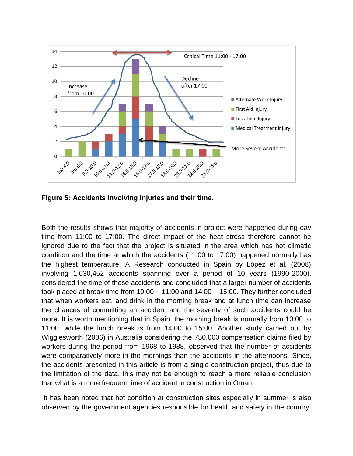

**Figure 5: Accidents Involving Injuries and their time.**

Both the results shows that majority of accidents in project were happened during day time from 11:00 to 17:00. The direct impact of the heat stress therefore cannot be ignored due to the fact that the project is situated in the area which has hot climatic condition and the time at which the accidents (11:00 to 17:00) happened normally has the highest temperature. A Research conducted in Spain by López et al. (2008) involving 1,630,452 accidents spanning over a period of 10 years (1990-2000), considered the time of these accidents and concluded that a larger number of accidents took placed at break time from 10:00 – 11:00 and 14:00 – 15:00. They further concluded that when workers eat, and drink in the morning break and at lunch time can increase the chances of committing an accident and the severity of such accidents could be more. It is worth mentioning that in Spain, the morning break is normally from 10:00 to 11:00, while the lunch break is from 14:00 to 15:00. Another study carried out by Wigglesworth (2006) in Australia considering the 750,000 compensation claims filed by workers during the period from 1968 to 1988, observed that the number of accidents were comparatively more in the mornings than the accidents in the afternoons. Since, the accidents presented in this article is from a single construction project, thus due to the limitation of the data, this may not be enough to reach a more reliable conclusion that what is a more frequent time of accident in construction in Oman.

It has been noted that hot condition at construction sites especially in summer is also observed by the government agencies responsible for health and safety in the country.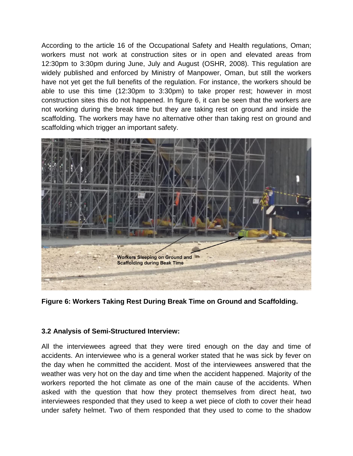According to the article 16 of the Occupational Safety and Health regulations, Oman; workers must not work at construction sites or in open and elevated areas from 12:30pm to 3:30pm during June, July and August (OSHR, 2008). This regulation are widely published and enforced by Ministry of Manpower, Oman, but still the workers have not yet get the full benefits of the regulation. For instance, the workers should be able to use this time (12:30pm to 3:30pm) to take proper rest; however in most construction sites this do not happened. In figure 6, it can be seen that the workers are not working during the break time but they are taking rest on ground and inside the scaffolding. The workers may have no alternative other than taking rest on ground and scaffolding which trigger an important safety.



**Figure 6: Workers Taking Rest During Break Time on Ground and Scaffolding.**

### **3.2 Analysis of Semi-Structured Interview:**

All the interviewees agreed that they were tired enough on the day and time of accidents. An interviewee who is a general worker stated that he was sick by fever on the day when he committed the accident. Most of the interviewees answered that the weather was very hot on the day and time when the accident happened. Majority of the workers reported the hot climate as one of the main cause of the accidents. When asked with the question that how they protect themselves from direct heat, two interviewees responded that they used to keep a wet piece of cloth to cover their head under safety helmet. Two of them responded that they used to come to the shadow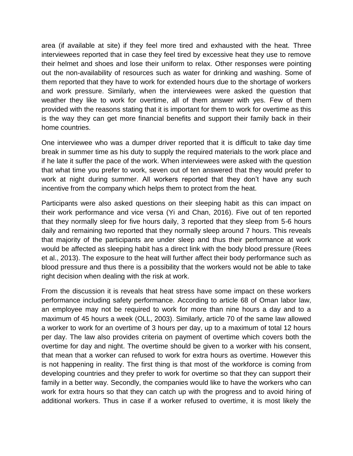area (if available at site) if they feel more tired and exhausted with the heat. Three interviewees reported that in case they feel tired by excessive heat they use to remove their helmet and shoes and lose their uniform to relax. Other responses were pointing out the non-availability of resources such as water for drinking and washing. Some of them reported that they have to work for extended hours due to the shortage of workers and work pressure. Similarly, when the interviewees were asked the question that weather they like to work for overtime, all of them answer with yes. Few of them provided with the reasons stating that it is important for them to work for overtime as this is the way they can get more financial benefits and support their family back in their home countries.

One interviewee who was a dumper driver reported that it is difficult to take day time break in summer time as his duty to supply the required materials to the work place and if he late it suffer the pace of the work. When interviewees were asked with the question that what time you prefer to work, seven out of ten answered that they would prefer to work at night during summer. All workers reported that they don't have any such incentive from the company which helps them to protect from the heat.

Participants were also asked questions on their sleeping habit as this can impact on their work performance and vice versa (Yi and Chan, 2016). Five out of ten reported that they normally sleep for five hours daily, 3 reported that they sleep from 5-6 hours daily and remaining two reported that they normally sleep around 7 hours. This reveals that majority of the participants are under sleep and thus their performance at work would be affected as sleeping habit has a direct link with the body blood pressure (Rees et al., 2013). The exposure to the heat will further affect their body performance such as blood pressure and thus there is a possibility that the workers would not be able to take right decision when dealing with the risk at work.

From the discussion it is reveals that heat stress have some impact on these workers performance including safety performance. According to article 68 of Oman labor law, an employee may not be required to work for more than nine hours a day and to a maximum of 45 hours a week (OLL, 2003). Similarly, article 70 of the same law allowed a worker to work for an overtime of 3 hours per day, up to a maximum of total 12 hours per day. The law also provides criteria on payment of overtime which covers both the overtime for day and night. The overtime should be given to a worker with his consent, that mean that a worker can refused to work for extra hours as overtime. However this is not happening in reality. The first thing is that most of the workforce is coming from developing countries and they prefer to work for overtime so that they can support their family in a better way. Secondly, the companies would like to have the workers who can work for extra hours so that they can catch up with the progress and to avoid hiring of additional workers. Thus in case if a worker refused to overtime, it is most likely the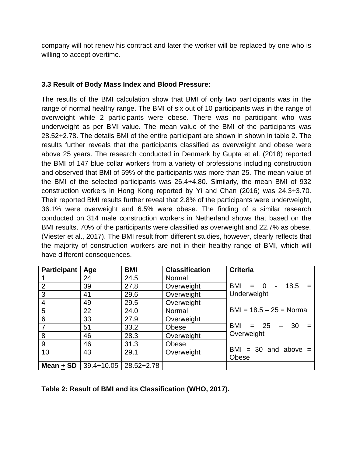company will not renew his contract and later the worker will be replaced by one who is willing to accept overtime.

#### **3.3 Result of Body Mass Index and Blood Pressure:**

The results of the BMI calculation show that BMI of only two participants was in the range of normal healthy range. The BMI of six out of 10 participants was in the range of overweight while 2 participants were obese. There was no participant who was underweight as per BMI value. The mean value of the BMI of the participants was 28.52+2.78. The details BMI of the entire participant are shown in shown in table 2. The results further reveals that the participants classified as overweight and obese were above 25 years. The research conducted in Denmark by Gupta et al. (2018) reported the BMI of 147 blue collar workers from a variety of professions including construction and observed that BMI of 59% of the participants was more than 25. The mean value of the BMI of the selected participants was 26.4+4.80. Similarly, the mean BMI of 932 construction workers in Hong Kong reported by Yi and Chan (2016) was 24.3+3.70. Their reported BMI results further reveal that 2.8% of the participants were underweight, 36.1% were overweight and 6.5% were obese. The finding of a similar research conducted on 314 male construction workers in Netherland shows that based on the BMI results, 70% of the participants were classified as overweight and 22.7% as obese. (Viester et al., 2017). The BMI result from different studies, however, clearly reflects that the majority of construction workers are not in their healthy range of BMI, which will have different consequences.

| <b>Participant</b> | Age        | <b>BMI</b> | <b>Classification</b> | <b>Criteria</b>            |
|--------------------|------------|------------|-----------------------|----------------------------|
|                    | 24         | 24.5       | Normal                |                            |
| $\overline{2}$     | 39         | 27.8       | Overweight            | $BMI = 0 - 18.5 =$         |
| 3                  | 41         | 29.6       | Overweight            | Underweight                |
| $\overline{4}$     | 49         | 29.5       | Overweight            |                            |
| 5                  | 22         | 24.0       | Normal                | $BMI = 18.5 - 25 = Normal$ |
| $6\phantom{1}6$    | 33         | 27.9       | Overweight            |                            |
| $\overline{7}$     | 51         | 33.2       | Obese                 | $=$ 25 $-$ 30 $=$<br>BMI   |
| 8                  | 46         | 28.3       | Overweight            | Overweight                 |
| 9                  | 46         | 31.3       | Obese                 |                            |
| 10                 | 43         | 29.1       | Overweight            | $BMI = 30$ and above =     |
|                    |            |            |                       | <b>Obese</b>               |
| Mean + $SD$        | 39.4+10.05 | 28.52+2.78 |                       |                            |

**Table 2: Result of BMI and its Classification (WHO, 2017).**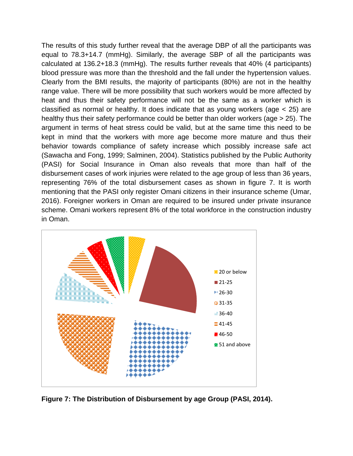The results of this study further reveal that the average DBP of all the participants was equal to 78.3+14.7 (mmHg). Similarly, the average SBP of all the participants was calculated at 136.2+18.3 (mmHg). The results further reveals that 40% (4 participants) blood pressure was more than the threshold and the fall under the hypertension values. Clearly from the BMI results, the majority of participants (80%) are not in the healthy range value. There will be more possibility that such workers would be more affected by heat and thus their safety performance will not be the same as a worker which is classified as normal or healthy. It does indicate that as young workers (age < 25) are healthy thus their safety performance could be better than older workers (age > 25). The argument in terms of heat stress could be valid, but at the same time this need to be kept in mind that the workers with more age become more mature and thus their behavior towards compliance of safety increase which possibly increase safe act (Sawacha and Fong, 1999; Salminen, 2004). Statistics published by the Public Authority (PASI) for Social Insurance in Oman also reveals that more than half of the disbursement cases of work injuries were related to the age group of less than 36 years, representing 76% of the total disbursement cases as shown in figure 7. It is worth mentioning that the PASI only register Omani citizens in their insurance scheme (Umar, 2016). Foreigner workers in Oman are required to be insured under private insurance scheme. Omani workers represent 8% of the total workforce in the construction industry in Oman.



**Figure 7: The Distribution of Disbursement by age Group (PASI, 2014).**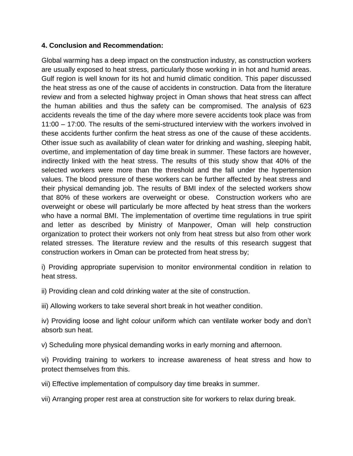### **4. Conclusion and Recommendation:**

Global warming has a deep impact on the construction industry, as construction workers are usually exposed to heat stress, particularly those working in in hot and humid areas. Gulf region is well known for its hot and humid climatic condition. This paper discussed the heat stress as one of the cause of accidents in construction. Data from the literature review and from a selected highway project in Oman shows that heat stress can affect the human abilities and thus the safety can be compromised. The analysis of 623 accidents reveals the time of the day where more severe accidents took place was from 11:00 – 17:00. The results of the semi-structured interview with the workers involved in these accidents further confirm the heat stress as one of the cause of these accidents. Other issue such as availability of clean water for drinking and washing, sleeping habit, overtime, and implementation of day time break in summer. These factors are however, indirectly linked with the heat stress. The results of this study show that 40% of the selected workers were more than the threshold and the fall under the hypertension values. The blood pressure of these workers can be further affected by heat stress and their physical demanding job. The results of BMI index of the selected workers show that 80% of these workers are overweight or obese. Construction workers who are overweight or obese will particularly be more affected by heat stress than the workers who have a normal BMI. The implementation of overtime time regulations in true spirit and letter as described by Ministry of Manpower, Oman will help construction organization to protect their workers not only from heat stress but also from other work related stresses. The literature review and the results of this research suggest that construction workers in Oman can be protected from heat stress by;

i) Providing appropriate supervision to monitor environmental condition in relation to heat stress.

ii) Providing clean and cold drinking water at the site of construction.

iii) Allowing workers to take several short break in hot weather condition.

iv) Providing loose and light colour uniform which can ventilate worker body and don't absorb sun heat.

v) Scheduling more physical demanding works in early morning and afternoon.

vi) Providing training to workers to increase awareness of heat stress and how to protect themselves from this.

vii) Effective implementation of compulsory day time breaks in summer.

vii) Arranging proper rest area at construction site for workers to relax during break.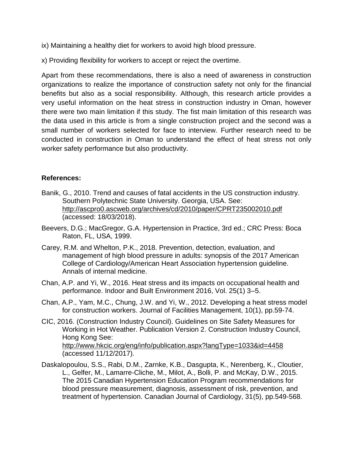ix) Maintaining a healthy diet for workers to avoid high blood pressure.

x) Providing flexibility for workers to accept or reject the overtime.

Apart from these recommendations, there is also a need of awareness in construction organizations to realize the importance of construction safety not only for the financial benefits but also as a social responsibility. Although, this research article provides a very useful information on the heat stress in construction industry in Oman, however there were two main limitation if this study. The fist main limitation of this research was the data used in this article is from a single construction project and the second was a small number of workers selected for face to interview. Further research need to be conducted in construction in Oman to understand the effect of heat stress not only worker safety performance but also productivity.

#### **References:**

- Banik, G., 2010. Trend and causes of fatal accidents in the US construction industry. Southern Polytechnic State University. Georgia, USA. See: <http://ascpro0.ascweb.org/archives/cd/2010/paper/CPRT235002010.pdf> (accessed: 18/03/2018).
- Beevers, D.G.; MacGregor, G.A. Hypertension in Practice, 3rd ed.; CRC Press: Boca Raton, FL, USA, 1999.
- Carey, R.M. and Whelton, P.K., 2018. Prevention, detection, evaluation, and management of high blood pressure in adults: synopsis of the 2017 American College of Cardiology/American Heart Association hypertension guideline. Annals of internal medicine.
- Chan, A.P. and Yi, W., 2016. Heat stress and its impacts on occupational health and performance. Indoor and Built Environment 2016, Vol. 25(1) 3–5.
- Chan, A.P., Yam, M.C., Chung, J.W. and Yi, W., 2012. Developing a heat stress model for construction workers. Journal of Facilities Management, 10(1), pp.59-74.
- CIC, 2016. (Construction Industry Council). Guidelines on Site Safety Measures for Working in Hot Weather. Publication Version 2. Construction Industry Council, Hong Kong See: <http://www.hkcic.org/eng/info/publication.aspx?langType=1033&id=4458> (accessed 11/12/2017).
- Daskalopoulou, S.S., Rabi, D.M., Zarnke, K.B., Dasgupta, K., Nerenberg, K., Cloutier, L., Gelfer, M., Lamarre-Cliche, M., Milot, A., Bolli, P. and McKay, D.W., 2015. The 2015 Canadian Hypertension Education Program recommendations for blood pressure measurement, diagnosis, assessment of risk, prevention, and treatment of hypertension. Canadian Journal of Cardiology, 31(5), pp.549-568.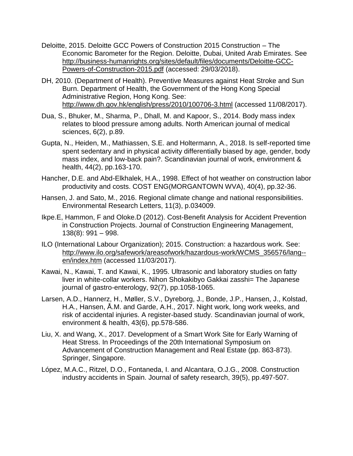- Deloitte, 2015. Deloitte GCC Powers of Construction 2015 Construction The Economic Barometer for the Region. Deloitte, Dubai, United Arab Emirates. See [http://business-humanrights.org/sites/default/files/documents/Deloitte-GCC-](http://business-humanrights.org/sites/default/files/documents/Deloitte-GCC-Powers-of-Construction-2015.pdf)[Powers-of-Construction-2015.pdf](http://business-humanrights.org/sites/default/files/documents/Deloitte-GCC-Powers-of-Construction-2015.pdf) (accessed: 29/03/2018).
- DH, 2010. (Department of Health). Preventive Measures against Heat Stroke and Sun Burn. Department of Health, the Government of the Hong Kong Special Administrative Region, Hong Kong. See: <http://www.dh.gov.hk/english/press/2010/100706-3.html> (accessed 11/08/2017).
- Dua, S., Bhuker, M., Sharma, P., Dhall, M. and Kapoor, S., 2014. Body mass index relates to blood pressure among adults. North American journal of medical sciences, 6(2), p.89.
- Gupta, N., Heiden, M., Mathiassen, S.E. and Holtermann, A., 2018. Is self-reported time spent sedentary and in physical activity differentially biased by age, gender, body mass index, and low-back pain?. Scandinavian journal of work, environment & health, 44(2), pp.163-170.
- Hancher, D.E. and Abd-Elkhalek, H.A., 1998. Effect of hot weather on construction labor productivity and costs. COST ENG(MORGANTOWN WVA), 40(4), pp.32-36.
- Hansen, J. and Sato, M., 2016. Regional climate change and national responsibilities. Environmental Research Letters, 11(3), p.034009.
- Ikpe.E, Hammon, F and Oloke.D (2012). Cost-Benefit Analysis for Accident Prevention in Construction Projects. Journal of Construction Engineering Management, 138(8): 991 – 998.
- ILO (International Labour Organization); 2015. Construction: a hazardous work. See: [http://www.ilo.org/safework/areasofwork/hazardous-work/WCMS\\_356576/lang-](http://www.ilo.org/safework/areasofwork/hazardous-work/WCMS_356576/lang--en/index.htm) [en/index.htm](http://www.ilo.org/safework/areasofwork/hazardous-work/WCMS_356576/lang--en/index.htm) (accessed 11/03/2017).
- Kawai, N., Kawai, T. and Kawai, K., 1995. Ultrasonic and laboratory studies on fatty liver in white-collar workers. Nihon Shokakibyo Gakkai zasshi= The Japanese journal of gastro-enterology, 92(7), pp.1058-1065.
- Larsen, A.D., Hannerz, H., Møller, S.V., Dyreborg, J., Bonde, J.P., Hansen, J., Kolstad, H.A., Hansen, Å.M. and Garde, A.H., 2017. Night work, long work weeks, and risk of accidental injuries. A register-based study. Scandinavian journal of work, environment & health, 43(6), pp.578-586.
- Liu, X. and Wang, X., 2017. Development of a Smart Work Site for Early Warning of Heat Stress. In Proceedings of the 20th International Symposium on Advancement of Construction Management and Real Estate (pp. 863-873). Springer, Singapore.
- López, M.A.C., Ritzel, D.O., Fontaneda, I. and Alcantara, O.J.G., 2008. Construction industry accidents in Spain. Journal of safety research, 39(5), pp.497-507.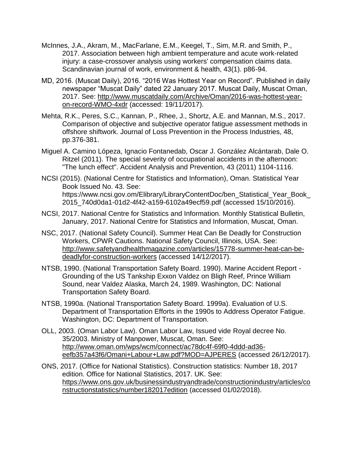- McInnes, J.A., Akram, M., MacFarlane, E.M., Keegel, T., Sim, M.R. and Smith, P., 2017. Association between high ambient temperature and acute work-related injury: a case-crossover analysis using workers' compensation claims data. Scandinavian journal of work, environment & health, 43(1). p86-94.
- MD, 2016. (Muscat Daily), 2016. "2016 Was Hottest Year on Record". Published in daily newspaper "Muscat Daily" dated 22 January 2017. Muscat Daily, Muscat Oman, 2017. See: [http://www.muscatdaily.com/Archive/Oman/2016-was-hottest-year](http://www.muscatdaily.com/Archive/Oman/2016-was-hottest-year-on-record-WMO-4xdr)[on-record-WMO-4xdr](http://www.muscatdaily.com/Archive/Oman/2016-was-hottest-year-on-record-WMO-4xdr) (accessed: 19/11/2017).
- Mehta, R.K., Peres, S.C., Kannan, P., Rhee, J., Shortz, A.E. and Mannan, M.S., 2017. Comparison of objective and subjective operator fatigue assessment methods in offshore shiftwork. Journal of Loss Prevention in the Process Industries, 48, pp.376-381.
- Miguel A. Camino Lópeza, Ignacio Fontanedab, Oscar J. González Alcántarab, Dale O. Ritzel (2011). The special severity of occupational accidents in the afternoon: "The lunch effect". Accident Analysis and Prevention, 43 (2011) 1104-1116.
- NCSI (2015). (National Centre for Statistics and Information), Oman. Statistical Year Book Issued No. 43. See: https://www.ncsi.gov.om/Elibrary/LibraryContentDoc/ben\_Statistical\_Year\_Book\_ 2015\_740d0da1-01d2-4f42-a159-6102a49ecf59.pdf (accessed 15/10/2016).
- NCSI, 2017. National Centre for Statistics and Information. Monthly Statistical Bulletin, January, 2017. National Centre for Statistics and Information, Muscat, Oman.
- NSC, 2017. (National Safety Council). Summer Heat Can Be Deadly for Construction Workers, CPWR Cautions. National Safety Council, Illinois, USA. See: [http://www.safetyandhealthmagazine.com/articles/15778-summer-heat-can-be](http://www.safetyandhealthmagazine.com/articles/15778-summer-heat-can-be-deadlyfor-construction-workers)[deadlyfor-construction-workers](http://www.safetyandhealthmagazine.com/articles/15778-summer-heat-can-be-deadlyfor-construction-workers) (accessed 14/12/2017).
- NTSB, 1990. (National Transportation Safety Board. 1990). Marine Accident Report Grounding of the US Tankship Exxon Valdez on Bligh Reef, Prince William Sound, near Valdez Alaska, March 24, 1989. Washington, DC: National Transportation Safety Board.
- NTSB, 1990a. (National Transportation Safety Board. 1999a). Evaluation of U.S. Department of Transportation Efforts in the 1990s to Address Operator Fatigue. Washington, DC: Department of Transportation.
- OLL, 2003. (Oman Labor Law). Oman Labor Law, Issued vide Royal decree No. 35/2003. Ministry of Manpower, Muscat, Oman. See: [http://www.oman.om/wps/wcm/connect/ac78dc4f-69f0-4ddd-ad36](http://www.oman.om/wps/wcm/connect/ac78dc4f-69f0-4ddd-ad36-eefb357a43f6/Omani+Labour+Law.pdf?MOD=AJPERES) [eefb357a43f6/Omani+Labour+Law.pdf?MOD=AJPERES](http://www.oman.om/wps/wcm/connect/ac78dc4f-69f0-4ddd-ad36-eefb357a43f6/Omani+Labour+Law.pdf?MOD=AJPERES) (accessed 26/12/2017).
- ONS, 2017. (Office for National Statistics). Construction statistics: Number 18, 2017 edition. Office for National Statistics, 2017. UK. See: [https://www.ons.gov.uk/businessindustryandtrade/constructionindustry/articles/co](https://www.ons.gov.uk/businessindustryandtrade/constructionindustry/articles/constructionstatistics/number182017edition) [nstructionstatistics/number182017edition](https://www.ons.gov.uk/businessindustryandtrade/constructionindustry/articles/constructionstatistics/number182017edition) (accessed 01/02/2018).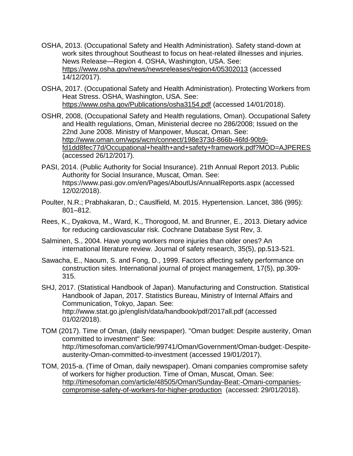- OSHA, 2013. (Occupational Safety and Health Administration). Safety stand-down at work sites throughout Southeast to focus on heat-related illnesses and injuries. News Release—Region 4. OSHA, Washington, USA. See: <https://www.osha.gov/news/newsreleases/region4/05302013> (accessed 14/12/2017).
- OSHA, 2017. (Occupational Safety and Health Administration). Protecting Workers from Heat Stress. OSHA, Washington, USA. See: <https://www.osha.gov/Publications/osha3154.pdf> (accessed 14/01/2018).
- OSHR, 2008, (Occupational Safety and Health regulations, Oman). Occupational Safety and Health regulations, Oman, Ministerial decree no 286/2008; Issued on the 22nd June 2008. Ministry of Manpower, Muscat, Oman. See: [http://www.oman.om/wps/wcm/connect/198e373d-866b-46fd-90b9](http://www.oman.om/wps/wcm/connect/198e373d-866b-46fd-90b9-fd1dd8fec77d/Occupational+health+and+safety+framework.pdf?MOD=AJPERES) [fd1dd8fec77d/Occupational+health+and+safety+framework.pdf?MOD=AJPERES](http://www.oman.om/wps/wcm/connect/198e373d-866b-46fd-90b9-fd1dd8fec77d/Occupational+health+and+safety+framework.pdf?MOD=AJPERES) (accessed 26/12/2017).
- PASI, 2014. (Public Authority for Social Insurance). 21th Annual Report 2013. Public Authority for Social Insurance, Muscat, Oman. See: https://www.pasi.gov.om/en/Pages/AboutUs/AnnualReports.aspx (accessed 12/02/2018).
- Poulter, N.R.; Prabhakaran, D.; Causlfield, M. 2015. Hypertension. Lancet, 386 (995): 801–812.
- Rees, K., Dyakova, M., Ward, K., Thorogood, M. and Brunner, E., 2013. Dietary advice for reducing cardiovascular risk. Cochrane Database Syst Rev, 3.
- Salminen, S., 2004. Have young workers more injuries than older ones? An international literature review. Journal of safety research, 35(5), pp.513-521.
- Sawacha, E., Naoum, S. and Fong, D., 1999. Factors affecting safety performance on construction sites. International journal of project management, 17(5), pp.309- 315.
- SHJ, 2017. (Statistical Handbook of Japan). Manufacturing and Construction. Statistical Handbook of Japan, 2017. Statistics Bureau, Ministry of Internal Affairs and Communication, Tokyo, Japan. See: http://www.stat.go.jp/english/data/handbook/pdf/2017all.pdf (accessed 01/02/2018).
- TOM (2017). Time of Oman, (daily newspaper). "Oman budget: Despite austerity, Oman committed to investment" See: http://timesofoman.com/article/99741/Oman/Government/Oman-budget:-Despiteausterity-Oman-committed-to-investment (accessed 19/01/2017).
- TOM, 2015-a. (Time of Oman, daily newspaper). Omani companies compromise safety of workers for higher production. Time of Oman, Muscat, Oman. See: [http://timesofoman.com/article/48505/Oman/Sunday-Beat:-Omani-companies](http://timesofoman.com/article/48505/Oman/Sunday-Beat:-Omani-companies-compromise-safety-of-workers-for-higher-production)[compromise-safety-of-workers-for-higher-production](http://timesofoman.com/article/48505/Oman/Sunday-Beat:-Omani-companies-compromise-safety-of-workers-for-higher-production) (accessed: 29/01/2018).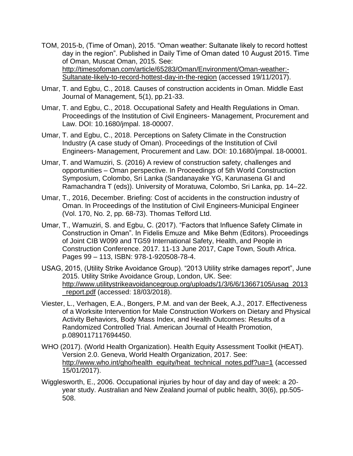- TOM, 2015-b, (Time of Oman), 2015. "Oman weather: Sultanate likely to record hottest day in the region". Published in Daily Time of Oman dated 10 August 2015. Time of Oman, Muscat Oman, 2015. See: [http://timesofoman.com/article/65283/Oman/Environment/Oman-weather:-](http://timesofoman.com/article/65283/Oman/Environment/Oman-weather:-Sultanate-likely-to-record-hottest-day-in-the-region) [Sultanate-likely-to-record-hottest-day-in-the-region](http://timesofoman.com/article/65283/Oman/Environment/Oman-weather:-Sultanate-likely-to-record-hottest-day-in-the-region) (accessed 19/11/2017).
- Umar, T. and Egbu, C., 2018. Causes of construction accidents in Oman. Middle East Journal of Management, 5(1), pp.21-33.
- Umar, T. and Egbu, C., 2018. Occupational Safety and Health Regulations in Oman. Proceedings of the Institution of Civil Engineers- Management, Procurement and Law. DOI: 10.1680/jmpal. 18-00007.
- Umar, T. and Egbu, C., 2018. Perceptions on Safety Climate in the Construction Industry (A case study of Oman). Proceedings of the Institution of Civil Engineers- Management, Procurement and Law. DOI: 10.1680/jmpal. 18-00001.
- Umar, T. and Wamuziri, S. (2016) A review of construction safety, challenges and opportunities – Oman perspective. In Proceedings of 5th World Construction Symposium, Colombo, Sri Lanka (Sandanayake YG, Karunasena GI and Ramachandra T (eds)). University of Moratuwa, Colombo, Sri Lanka, pp. 14–22.
- Umar, T., 2016, December. Briefing: Cost of accidents in the construction industry of Oman. In Proceedings of the Institution of Civil Engineers-Municipal Engineer (Vol. 170, No. 2, pp. 68-73). Thomas Telford Ltd.
- Umar, T., Wamuziri, S. and Egbu, C. (2017). "Factors that Influence Safety Climate in Construction in Oman". In Fidelis Emuze and Mike Behm (Editors). Proceedings of Joint CIB W099 and TG59 International Safety, Health, and People in Construction Conference. 2017. 11-13 June 2017, Cape Town, South Africa. Pages 99 – 113, ISBN: 978-1-920508-78-4.
- USAG, 2015, (Utility Strike Avoidance Group). "2013 Utility strike damages report", June 2015. Utility Strike Avoidance Group, London, UK. See: [http://www.utilitystrikeavoidancegroup.org/uploads/1/3/6/6/13667105/usag\\_2013](http://www.utilitystrikeavoidancegroup.org/uploads/1/3/6/6/13667105/usag_2013_report.pdf) report.pdf (accessed: 18/03/2018).
- Viester, L., Verhagen, E.A., Bongers, P.M. and van der Beek, A.J., 2017. Effectiveness of a Worksite Intervention for Male Construction Workers on Dietary and Physical Activity Behaviors, Body Mass Index, and Health Outcomes: Results of a Randomized Controlled Trial. American Journal of Health Promotion, p.0890117117694450.
- WHO (2017). (World Health Organization). Health Equity Assessment Toolkit (HEAT). Version 2.0. Geneva, World Health Organization, 2017. See: [http://www.who.int/gho/health\\_equity/heat\\_technical\\_notes.pdf?ua=1](http://www.who.int/gho/health_equity/heat_technical_notes.pdf?ua=1) (accessed 15/01/2017).
- Wigglesworth, E., 2006. Occupational injuries by hour of day and day of week: a 20‐ year study. Australian and New Zealand journal of public health, 30(6), pp.505- 508.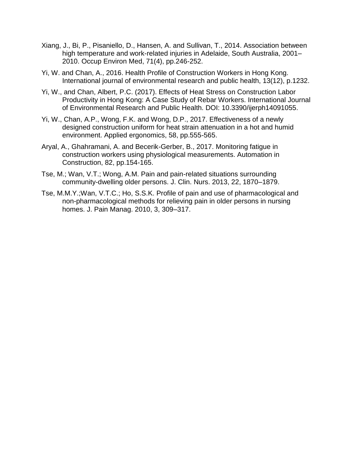- Xiang, J., Bi, P., Pisaniello, D., Hansen, A. and Sullivan, T., 2014. Association between high temperature and work-related injuries in Adelaide, South Australia, 2001– 2010. Occup Environ Med, 71(4), pp.246-252.
- Yi, W. and Chan, A., 2016. Health Profile of Construction Workers in Hong Kong. International journal of environmental research and public health, 13(12), p.1232.
- Yi, W., and Chan, Albert, P.C. (2017). Effects of Heat Stress on Construction Labor Productivity in Hong Kong: A Case Study of Rebar Workers. International Journal of Environmental Research and Public Health. DOI: 10.3390/ijerph14091055.
- Yi, W., Chan, A.P., Wong, F.K. and Wong, D.P., 2017. Effectiveness of a newly designed construction uniform for heat strain attenuation in a hot and humid environment. Applied ergonomics, 58, pp.555-565.
- Aryal, A., Ghahramani, A. and Becerik-Gerber, B., 2017. Monitoring fatigue in construction workers using physiological measurements. Automation in Construction, 82, pp.154-165.
- Tse, M.; Wan, V.T.; Wong, A.M. Pain and pain-related situations surrounding community-dwelling older persons. J. Clin. Nurs. 2013, 22, 1870–1879.
- Tse, M.M.Y.;Wan, V.T.C.; Ho, S.S.K. Profile of pain and use of pharmacological and non-pharmacological methods for relieving pain in older persons in nursing homes. J. Pain Manag. 2010, 3, 309–317.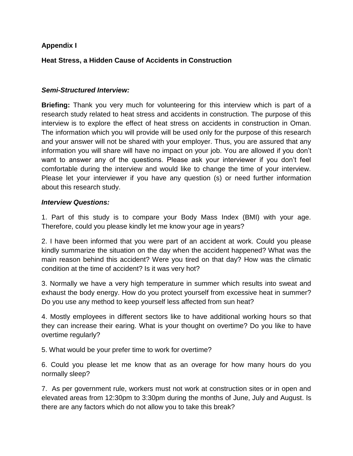### **Appendix I**

### **Heat Stress, a Hidden Cause of Accidents in Construction**

#### *Semi-Structured Interview:*

**Briefing:** Thank you very much for volunteering for this interview which is part of a research study related to heat stress and accidents in construction. The purpose of this interview is to explore the effect of heat stress on accidents in construction in Oman. The information which you will provide will be used only for the purpose of this research and your answer will not be shared with your employer. Thus, you are assured that any information you will share will have no impact on your job. You are allowed if you don't want to answer any of the questions. Please ask your interviewer if you don't feel comfortable during the interview and would like to change the time of your interview. Please let your interviewer if you have any question (s) or need further information about this research study.

#### *Interview Questions:*

1. Part of this study is to compare your Body Mass Index (BMI) with your age. Therefore, could you please kindly let me know your age in years?

2. I have been informed that you were part of an accident at work. Could you please kindly summarize the situation on the day when the accident happened? What was the main reason behind this accident? Were you tired on that day? How was the climatic condition at the time of accident? Is it was very hot?

3. Normally we have a very high temperature in summer which results into sweat and exhaust the body energy. How do you protect yourself from excessive heat in summer? Do you use any method to keep yourself less affected from sun heat?

4. Mostly employees in different sectors like to have additional working hours so that they can increase their earing. What is your thought on overtime? Do you like to have overtime regularly?

5. What would be your prefer time to work for overtime?

6. Could you please let me know that as an overage for how many hours do you normally sleep?

7. As per government rule, workers must not work at construction sites or in open and elevated areas from 12:30pm to 3:30pm during the months of June, July and August. Is there are any factors which do not allow you to take this break?